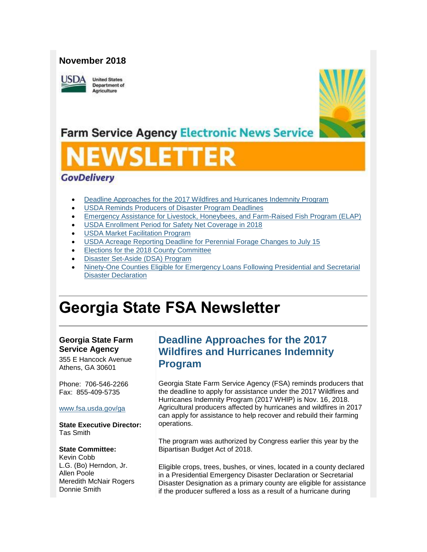### **November 2018**



**United States Department of** Agriculture



## **Farm Service Agency Electronic News Service**

# SLET

## **GovDelivery**

- [Deadline Approaches for the 2017 Wildfires and Hurricanes Indemnity Program](#page-0-0)
- [USDA Reminds Producers of Disaster Program Deadlines](#page-1-0)
- [Emergency Assistance for Livestock, Honeybees, and Farm-Raised Fish Program \(ELAP\)](#page-3-0)
- [USDA Enrollment Period for Safety Net Coverage in 2018](#page-3-1)
- [USDA Market Facilitation Program](#page-4-0)
- USDA Acreage Reporting Deadline [for Perennial Forage Changes to July 15](#page-5-0)
- [Elections for the 2018 County Committee](#page-5-1)
- [Disaster Set-Aside \(DSA\) Program](#page-6-0)
- [Ninety-One Counties Eligible for Emergency Loans Following Presidential and Secretarial](#page-6-1)  [Disaster Declaration](#page-6-1)

## **Georgia State FSA Newsletter**

### **Georgia State Farm Service Agency**

355 E Hancock Avenue Athens, GA 30601

Phone: 706-546-2266 Fax: 855-409-5735

#### [www.fsa.usda.gov/ga](http://www.fsa.usda.gov/xx?utm_medium=email&utm_source=govdelivery)

**State Executive Director:** Tas Smith

#### **State Committee:**

Kevin Cobb L.G. (Bo) Herndon, Jr. Allen Poole Meredith McNair Rogers Donnie Smith

## <span id="page-0-0"></span>**Deadline Approaches for the 2017 Wildfires and Hurricanes Indemnity Program**

Georgia State Farm Service Agency (FSA) reminds producers that the deadline to apply for assistance under the 2017 Wildfires and Hurricanes Indemnity Program (2017 WHIP) is Nov. 16, 2018. Agricultural producers affected by hurricanes and wildfires in 2017 can apply for assistance to help recover and rebuild their farming operations.

The program was authorized by Congress earlier this year by the Bipartisan Budget Act of 2018.

Eligible crops, trees, bushes, or vines, located in a county declared in a Presidential Emergency Disaster Declaration or Secretarial Disaster Designation as a primary county are eligible for assistance if the producer suffered a loss as a result of a hurricane during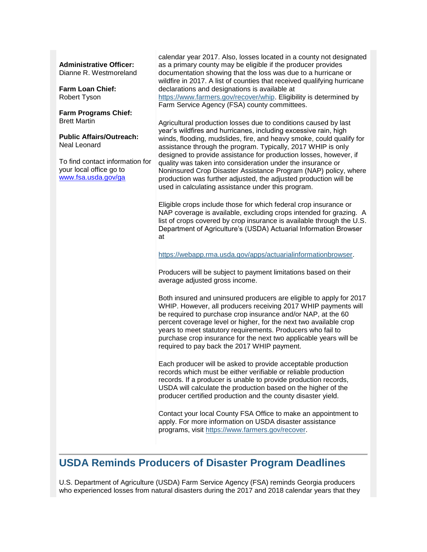#### **Administrative Officer:**

Dianne R. Westmoreland

**Farm Loan Chief:** Robert Tyson

**Farm Programs Chief:** Brett Martin

**Public Affairs/Outreach:** Neal Leonard

To find contact information for your local office go to [www.fsa.usda.gov/ga](http://www.fsa.usda.gov/ga)

calendar year 2017. Also, losses located in a county not designated as a primary county may be eligible if the producer provides documentation showing that the loss was due to a hurricane or wildfire in 2017. A list of counties that received qualifying hurricane declarations and designations is available at [https://www.farmers.gov/recover/whip.](https://www.farmers.gov/recover/whip?utm_medium=email&utm_source=govdelivery) Eligibility is determined by Farm Service Agency (FSA) county committees.

Agricultural production losses due to conditions caused by last year's wildfires and hurricanes, including excessive rain, high winds, flooding, mudslides, fire, and heavy smoke, could qualify for assistance through the program. Typically, 2017 WHIP is only designed to provide assistance for production losses, however, if quality was taken into consideration under the insurance or Noninsured Crop Disaster Assistance Program (NAP) policy, where production was further adjusted, the adjusted production will be used in calculating assistance under this program.

Eligible crops include those for which federal crop insurance or NAP coverage is available, excluding crops intended for grazing. A list of crops covered by crop insurance is available through the U.S. Department of Agriculture's (USDA) Actuarial Information Browser at

[https://webapp.rma.usda.gov/apps/actuarialinformationbrowser.](https://webapp.rma.usda.gov/apps/actuarialinformationbrowser?utm_medium=email&utm_source=govdelivery)

Producers will be subject to payment limitations based on their average adjusted gross income.

Both insured and uninsured producers are eligible to apply for 2017 WHIP. However, all producers receiving 2017 WHIP payments will be required to purchase crop insurance and/or NAP, at the 60 percent coverage level or higher, for the next two available crop years to meet statutory requirements. Producers who fail to purchase crop insurance for the next two applicable years will be required to pay back the 2017 WHIP payment.

Each producer will be asked to provide acceptable production records which must be either verifiable or reliable production records. If a producer is unable to provide production records, USDA will calculate the production based on the higher of the producer certified production and the county disaster yield.

Contact your local County FSA Office to make an appointment to apply. For more information on USDA disaster assistance programs, visit [https://www.farmers.gov/recover.](https://www.farmers.gov/recover?utm_medium=email&utm_source=govdelivery)

## <span id="page-1-0"></span>**USDA Reminds Producers of Disaster Program Deadlines**

U.S. Department of Agriculture (USDA) Farm Service Agency (FSA) reminds Georgia producers who experienced losses from natural disasters during the 2017 and 2018 calendar years that they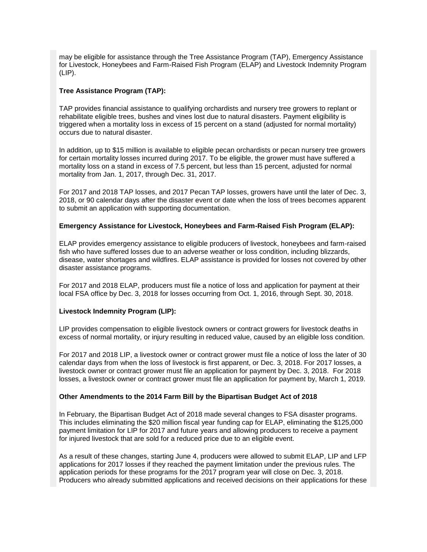may be eligible for assistance through the Tree Assistance Program (TAP), Emergency Assistance for Livestock, Honeybees and Farm-Raised Fish Program (ELAP) and Livestock Indemnity Program (LIP).

#### **Tree Assistance Program (TAP):**

TAP provides financial assistance to qualifying orchardists and nursery tree growers to replant or rehabilitate eligible trees, bushes and vines lost due to natural disasters. Payment eligibility is triggered when a mortality loss in excess of 15 percent on a stand (adjusted for normal mortality) occurs due to natural disaster.

In addition, up to \$15 million is available to eligible pecan orchardists or pecan nursery tree growers for certain mortality losses incurred during 2017. To be eligible, the grower must have suffered a mortality loss on a stand in excess of 7.5 percent, but less than 15 percent, adjusted for normal mortality from Jan. 1, 2017, through Dec. 31, 2017.

For 2017 and 2018 TAP losses, and 2017 Pecan TAP losses, growers have until the later of Dec. 3, 2018, or 90 calendar days after the disaster event or date when the loss of trees becomes apparent to submit an application with supporting documentation.

#### **Emergency Assistance for Livestock, Honeybees and Farm-Raised Fish Program (ELAP):**

ELAP provides emergency assistance to eligible producers of livestock, honeybees and farm-raised fish who have suffered losses due to an adverse weather or loss condition, including blizzards, disease, water shortages and wildfires. ELAP assistance is provided for losses not covered by other disaster assistance programs.

For 2017 and 2018 ELAP, producers must file a notice of loss and application for payment at their local FSA office by Dec. 3, 2018 for losses occurring from Oct. 1, 2016, through Sept. 30, 2018.

#### **Livestock Indemnity Program (LIP):**

LIP provides compensation to eligible livestock owners or contract growers for livestock deaths in excess of normal mortality, or injury resulting in reduced value, caused by an eligible loss condition.

For 2017 and 2018 LIP, a livestock owner or contract grower must file a notice of loss the later of 30 calendar days from when the loss of livestock is first apparent, or Dec. 3, 2018. For 2017 losses, a livestock owner or contract grower must file an application for payment by Dec. 3, 2018. For 2018 losses, a livestock owner or contract grower must file an application for payment by, March 1, 2019.

#### **Other Amendments to the 2014 Farm Bill by the Bipartisan Budget Act of 2018**

In February, the Bipartisan Budget Act of 2018 made several changes to FSA disaster programs. This includes eliminating the \$20 million fiscal year funding cap for ELAP, eliminating the \$125,000 payment limitation for LIP for 2017 and future years and allowing producers to receive a payment for injured livestock that are sold for a reduced price due to an eligible event.

As a result of these changes, starting June 4, producers were allowed to submit ELAP, LIP and LFP applications for 2017 losses if they reached the payment limitation under the previous rules. The application periods for these programs for the 2017 program year will close on Dec. 3, 2018. Producers who already submitted applications and received decisions on their applications for these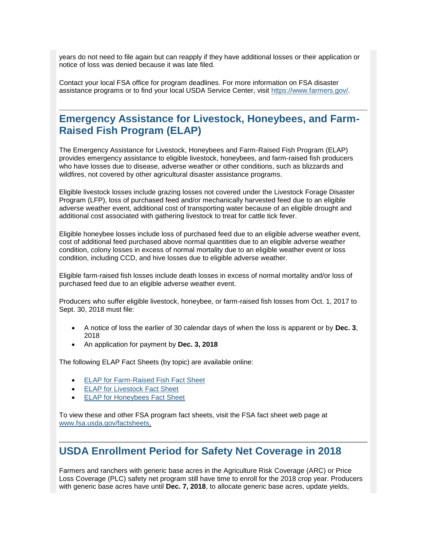years do not need to file again but can reapply if they have additional losses or their application or notice of loss was denied because it was late filed.

Contact your local FSA office for program deadlines. For more information on FSA disaster assistance programs or to find your local USDA Service Center, visit [https://www.farmers.gov/.](https://www.farmers.gov/recover?utm_medium=email&utm_source=govdelivery)

## <span id="page-3-0"></span>**Emergency Assistance for Livestock, Honeybees, and Farm-Raised Fish Program (ELAP)**

The Emergency Assistance for Livestock, Honeybees and Farm-Raised Fish Program (ELAP) provides emergency assistance to eligible livestock, honeybees, and farm-raised fish producers who have losses due to disease, adverse weather or other conditions, such as blizzards and wildfires, not covered by other agricultural disaster assistance programs.

Eligible livestock losses include grazing losses not covered under the Livestock Forage Disaster Program (LFP), loss of purchased feed and/or mechanically harvested feed due to an eligible adverse weather event, additional cost of transporting water because of an eligible drought and additional cost associated with gathering livestock to treat for cattle tick fever.

Eligible honeybee losses include loss of purchased feed due to an eligible adverse weather event, cost of additional feed purchased above normal quantities due to an eligible adverse weather condition, colony losses in excess of normal mortality due to an eligible weather event or loss condition, including CCD, and hive losses due to eligible adverse weather.

Eligible farm-raised fish losses include death losses in excess of normal mortality and/or loss of purchased feed due to an eligible adverse weather event.

Producers who suffer eligible livestock, honeybee, or farm-raised fish losses from Oct. 1, 2017 to Sept. 30, 2018 must file:

- A notice of loss the earlier of 30 calendar days of when the loss is apparent or by **Dec. 3**, 2018
- An application for payment by **Dec. 3, 2018**

The following ELAP Fact Sheets (by topic) are available online:

- [ELAP for Farm-Raised Fish Fact Sheet](https://www.fsa.usda.gov/Assets/USDA-FSA-Public/usdafiles/FactSheets/2018/elap_farm-raised_fish_assistance_fact_sheet-may_2018.pdf?utm_medium=email&utm_source=govdelivery)
- **[ELAP for Livestock Fact Sheet](https://www.fsa.usda.gov/Assets/USDA-FSA-Public/usdafiles/FactSheets/2018/elap_livestock_assistance_fact_sheet-may_2018.pdf?utm_medium=email&utm_source=govdelivery)**
- **[ELAP for Honeybees Fact Sheet](https://www.fsa.usda.gov/Assets/USDA-FSA-Public/usdafiles/FactSheets/2018/elap_honeybee_assistance_fact_sheet-may_2018.pdf?utm_medium=email&utm_source=govdelivery)**

To view these and other FSA program fact sheets, visit the FSA fact sheet web page at [www.fsa.usda.gov/factsheets.](http://www.fsa.usda.gov/factsheets?utm_medium=email&utm_source=govdelivery)

## <span id="page-3-1"></span>**USDA Enrollment Period for Safety Net Coverage in 2018**

Farmers and ranchers with generic base acres in the Agriculture Risk Coverage (ARC) or Price Loss Coverage (PLC) safety net program still have time to enroll for the 2018 crop year. Producers with generic base acres have until **Dec. 7, 2018**, to allocate generic base acres, update yields,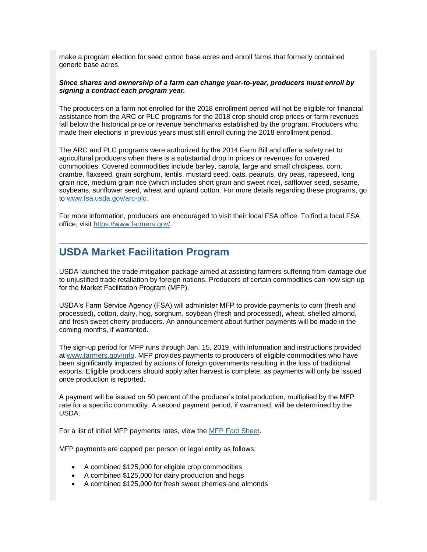make a program election for seed cotton base acres and enroll farms that formerly contained generic base acres.

#### *Since shares and ownership of a farm can change year-to-year, producers must enroll by signing a contract each program year.*

The producers on a farm not enrolled for the 2018 enrollment period will not be eligible for financial assistance from the ARC or PLC programs for the 2018 crop should crop prices or farm revenues fall below the historical price or revenue benchmarks established by the program. Producers who made their elections in previous years must still enroll during the 2018 enrollment period.

The ARC and PLC programs were authorized by the 2014 Farm Bill and offer a safety net to agricultural producers when there is a substantial drop in prices or revenues for covered commodities. Covered commodities include barley, canola, large and small chickpeas, corn, crambe, flaxseed, grain sorghum, lentils, mustard seed, oats, peanuts, dry peas, rapeseed, long grain rice, medium grain rice (which includes short grain and sweet rice), safflower seed, sesame, soybeans, sunflower seed, wheat and upland cotton. For more details regarding these programs, go to [www.fsa.usda.gov/arc-plc.](http://www.fsa.usda.gov/arc-plc?utm_medium=email&utm_source=govdelivery)

For more information, producers are encouraged to visit their local FSA office. To find a local FSA office, visit [https://www.farmers.gov/.](https://www.farmers.gov/?utm_medium=email&utm_source=govdelivery)

## <span id="page-4-0"></span>**USDA Market Facilitation Program**

USDA launched the trade mitigation package aimed at assisting farmers suffering from damage due to unjustified trade retaliation by foreign nations. Producers of certain commodities can now sign up for the Market Facilitation Program (MFP).

USDA's Farm Service Agency (FSA) will administer MFP to provide payments to corn (fresh and processed), cotton, dairy, hog, sorghum, soybean (fresh and processed), wheat, shelled almond, and fresh sweet cherry producers. An announcement about further payments will be made in the coming months, if warranted.

The sign-up period for MFP runs through Jan. 15, 2019, with information and instructions provided at [www.farmers.gov/mfp.](http://links.govdelivery.com/track?type=click&enid=ZWFzPTEmbWFpbGluZ2lkPTIwMTgwOTA0Ljk0NDE3NjQxJm1lc3NhZ2VpZD1NREItUFJELUJVTC0yMDE4MDkwNC45NDQxNzY0MSZkYXRhYmFzZWlkPTEwMDEmc2VyaWFsPTE4MDA0MDA0JmVtYWlsaWQ9Y2Fzc2llLmJhYmxlQHR4LnVzZGEuZ292JnVzZXJpZD1jYXNzaWUuYmFibGVAdHgudXNkYS5nb3YmZmw9JmV4dHJhPU11bHRpdmFyaWF0ZUlkPSYmJg==&&&103&&&http://www.farmers.gov/mfp) MFP provides payments to producers of eligible commodities who have been significantly impacted by actions of foreign governments resulting in the loss of traditional exports. Eligible producers should apply after harvest is complete, as payments will only be issued once production is reported.

A payment will be issued on 50 percent of the producer's total production, multiplied by the MFP rate for a specific commodity. A second payment period, if warranted, will be determined by the USDA.

For a list of initial MFP payments rates, view the [MFP Fact Sheet.](https://www.fsa.usda.gov/Assets/USDA-FSA-Public/usdafiles/FactSheets/2018/Market_Facilitation_Program_Fact_Sheet_September_2018C.pdf?utm_medium=email&utm_source=govdelivery)

MFP payments are capped per person or legal entity as follows:

- A combined \$125,000 for eligible crop commodities
- A combined \$125,000 for dairy production and hogs
- A combined \$125,000 for fresh sweet cherries and almonds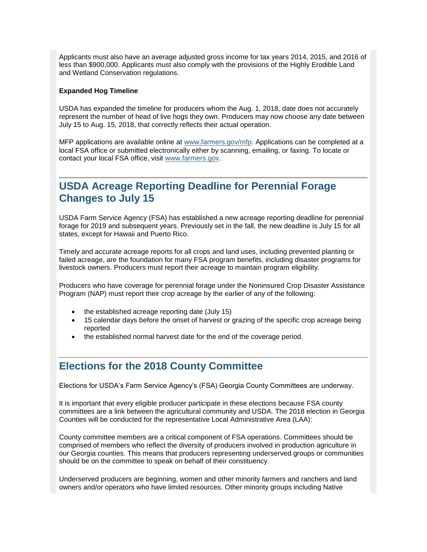Applicants must also have an average adjusted gross income for tax years 2014, 2015, and 2016 of less than \$900,000. Applicants must also comply with the provisions of the Highly Erodible Land and Wetland Conservation regulations.

#### **Expanded Hog Timeline**

USDA has expanded the timeline for producers whom the Aug. 1, 2018, date does not accurately represent the number of head of live hogs they own. Producers may now choose any date between July 15 to Aug. 15, 2018, that correctly reflects their actual operation.

MFP applications are available online at [www.farmers.gov/mfp.](http://www.farmers.gov/mfp?utm_medium=email&utm_source=govdelivery) Applications can be completed at a local FSA office or submitted electronically either by scanning, emailing, or faxing. To locate or contact your local FSA office, visit [www.farmers.gov.](https://www.farmers.gov/?utm_medium=email&utm_source=govdelivery)

## <span id="page-5-0"></span>**USDA Acreage Reporting Deadline for Perennial Forage Changes to July 15**

USDA Farm Service Agency (FSA) has established a new acreage reporting deadline for perennial forage for 2019 and subsequent years. Previously set in the fall, the new deadline is July 15 for all states, except for Hawaii and Puerto Rico.

Timely and accurate acreage reports for all crops and land uses, including prevented planting or failed acreage, are the foundation for many FSA program benefits, including disaster programs for livestock owners. Producers must report their acreage to maintain program eligibility.

Producers who have coverage for perennial forage under the Noninsured Crop Disaster Assistance Program (NAP) must report their crop acreage by the earlier of any of the following:

- the established acreage reporting date (July 15)
- 15 calendar days before the onset of harvest or grazing of the specific crop acreage being reported
- the established normal harvest date for the end of the coverage period.

## <span id="page-5-1"></span>**Elections for the 2018 County Committee**

Elections for USDA's Farm Service Agency's (FSA) Georgia County Committees are underway.

It is important that every eligible producer participate in these elections because FSA county committees are a link between the agricultural community and USDA. The 2018 election in Georgia Counties will be conducted for the representative Local Administrative Area (LAA):

County committee members are a critical component of FSA operations. Committees should be comprised of members who reflect the diversity of producers involved in production agriculture in our Georgia counties. This means that producers representing underserved groups or communities should be on the committee to speak on behalf of their constituency.

Underserved producers are beginning, women and other minority farmers and ranchers and land owners and/or operators who have limited resources. Other minority groups including Native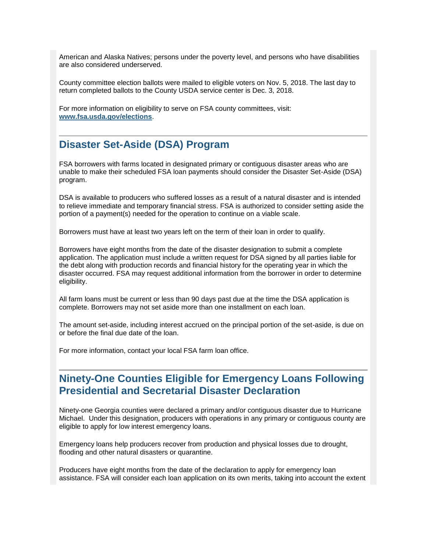American and Alaska Natives; persons under the poverty level, and persons who have disabilities are also considered underserved.

County committee election ballots were mailed to eligible voters on Nov. 5, 2018. The last day to return completed ballots to the County USDA service center is Dec. 3, 2018.

For more information on eligibility to serve on FSA county committees, visit: **[www.fsa.usda.gov/elections](http://www.fsa.usda.gov/elections?utm_medium=email&utm_source=govdelivery)**.

## <span id="page-6-0"></span>**Disaster Set-Aside (DSA) Program**

FSA borrowers with farms located in designated primary or contiguous disaster areas who are unable to make their scheduled FSA loan payments should consider the Disaster Set-Aside (DSA) program.

DSA is available to producers who suffered losses as a result of a natural disaster and is intended to relieve immediate and temporary financial stress. FSA is authorized to consider setting aside the portion of a payment(s) needed for the operation to continue on a viable scale.

Borrowers must have at least two years left on the term of their loan in order to qualify.

Borrowers have eight months from the date of the disaster designation to submit a complete application. The application must include a written request for DSA signed by all parties liable for the debt along with production records and financial history for the operating year in which the disaster occurred. FSA may request additional information from the borrower in order to determine eligibility.

All farm loans must be current or less than 90 days past due at the time the DSA application is complete. Borrowers may not set aside more than one installment on each loan.

The amount set-aside, including interest accrued on the principal portion of the set-aside, is due on or before the final due date of the loan.

For more information, contact your local FSA farm loan office.

## <span id="page-6-1"></span>**Ninety-One Counties Eligible for Emergency Loans Following Presidential and Secretarial Disaster Declaration**

Ninety-one Georgia counties were declared a primary and/or contiguous disaster due to Hurricane Michael. Under this designation, producers with operations in any primary or contiguous county are eligible to apply for low interest emergency loans.

Emergency loans help producers recover from production and physical losses due to drought, flooding and other natural disasters or quarantine.

Producers have eight months from the date of the declaration to apply for emergency loan assistance. FSA will consider each loan application on its own merits, taking into account the extent